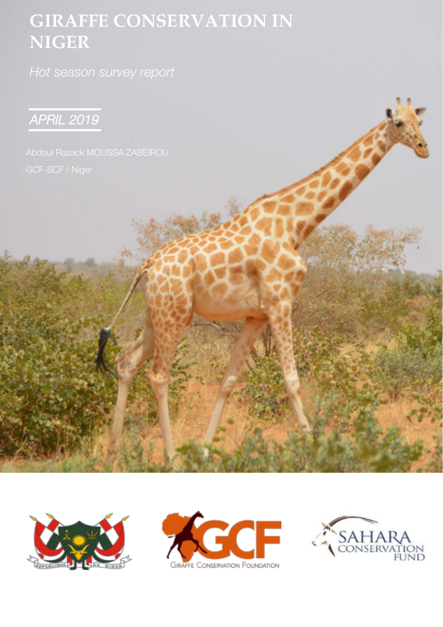# **GIRAFFE CONSERVATION IN NIGER**







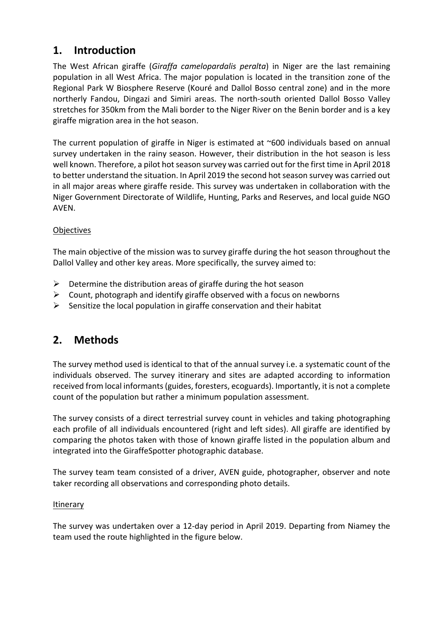## **1. Introduction**

The West African giraffe (*Giraffa camelopardalis peralta*) in Niger are the last remaining population in all West Africa. The major population is located in the transition zone of the Regional Park W Biosphere Reserve (Kouré and Dallol Bosso central zone) and in the more northerly Fandou, Dingazi and Simiri areas. The north-south oriented Dallol Bosso Valley stretches for 350km from the Mali border to the Niger River on the Benin border and is a key giraffe migration area in the hot season.

The current population of giraffe in Niger is estimated at ~600 individuals based on annual survey undertaken in the rainy season. However, their distribution in the hot season is less well known. Therefore, a pilot hot season survey was carried out for the first time in April 2018 to better understand the situation. In April 2019 the second hot season survey was carried out in all major areas where giraffe reside. This survey was undertaken in collaboration with the Niger Government Directorate of Wildlife, Hunting, Parks and Reserves, and local guide NGO AVEN.

#### **Objectives**

The main objective of the mission was to survey giraffe during the hot season throughout the Dallol Valley and other key areas. More specifically, the survey aimed to:

- $\triangleright$  Determine the distribution areas of giraffe during the hot season
- $\triangleright$  Count, photograph and identify giraffe observed with a focus on newborns
- $\triangleright$  Sensitize the local population in giraffe conservation and their habitat

### **2. Methods**

The survey method used is identical to that of the annual survey i.e. a systematic count of the individuals observed. The survey itinerary and sites are adapted according to information received from local informants (guides, foresters, ecoguards). Importantly, it is not a complete count of the population but rather a minimum population assessment.

The survey consists of a direct terrestrial survey count in vehicles and taking photographing each profile of all individuals encountered (right and left sides). All giraffe are identified by comparing the photos taken with those of known giraffe listed in the population album and integrated into the GiraffeSpotter photographic database.

The survey team team consisted of a driver, AVEN guide, photographer, observer and note taker recording all observations and corresponding photo details.

#### Itinerary

The survey was undertaken over a 12-day period in April 2019. Departing from Niamey the team used the route highlighted in the figure below.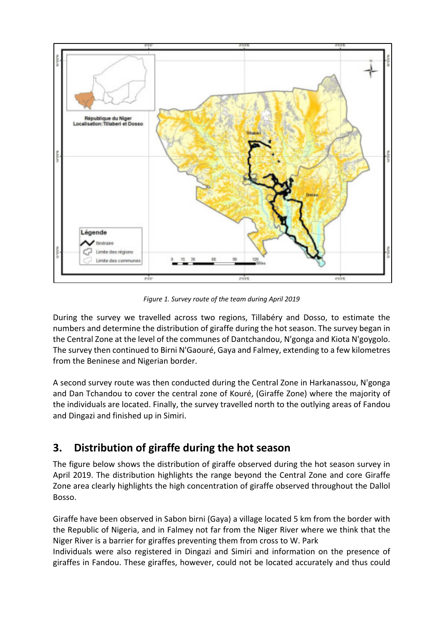

*Figure 1. Survey route of the team during April 2019*

During the survey we travelled across two regions, Tillabéry and Dosso, to estimate the numbers and determine the distribution of giraffe during the hot season. The survey began in the Central Zone at the level of the communes of Dantchandou, N'gonga and Kiota N'goygolo. The survey then continued to Birni N'Gaouré, Gaya and Falmey, extending to a few kilometres from the Beninese and Nigerian border.

A second survey route was then conducted during the Central Zone in Harkanassou, N'gonga and Dan Tchandou to cover the central zone of Kouré, (Giraffe Zone) where the majority of the individuals are located. Finally, the survey travelled north to the outlying areas of Fandou and Dingazi and finished up in Simiri.

# **3. Distribution of giraffe during the hot season**

The figure below shows the distribution of giraffe observed during the hot season survey in April 2019. The distribution highlights the range beyond the Central Zone and core Giraffe Zone area clearly highlights the high concentration of giraffe observed throughout the Dallol Bosso.

Giraffe have been observed in Sabon birni (Gaya) a village located 5 km from the border with the Republic of Nigeria, and in Falmey not far from the Niger River where we think that the Niger River is a barrier for giraffes preventing them from cross to W. Park

Individuals were also registered in Dingazi and Simiri and information on the presence of giraffes in Fandou. These giraffes, however, could not be located accurately and thus could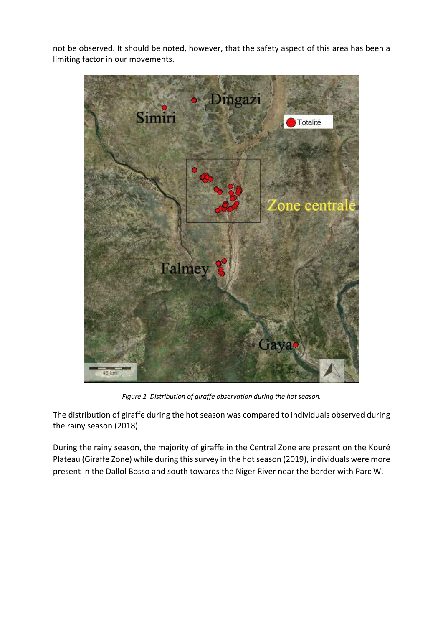not be observed. It should be noted, however, that the safety aspect of this area has been a limiting factor in our movements.



*Figure 2. Distribution of giraffe observation during the hot season.* 

The distribution of giraffe during the hot season was compared to individuals observed during the rainy season (2018).

During the rainy season, the majority of giraffe in the Central Zone are present on the Kouré Plateau (Giraffe Zone) while during this survey in the hot season (2019), individuals were more present in the Dallol Bosso and south towards the Niger River near the border with Parc W.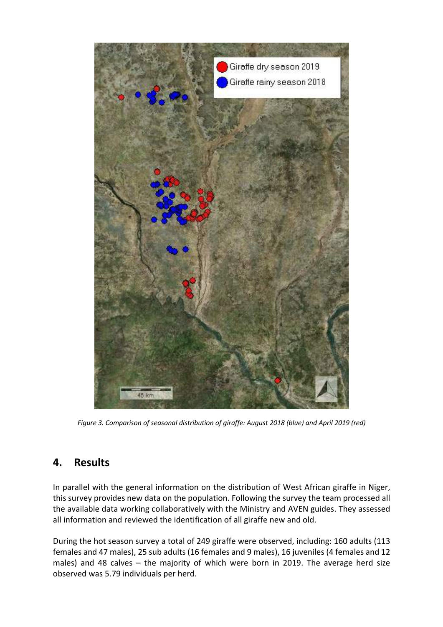

*Figure 3. Comparison of seasonal distribution of giraffe: August 2018 (blue) and April 2019 (red)*

### **4. Results**

In parallel with the general information on the distribution of West African giraffe in Niger, this survey provides new data on the population. Following the survey the team processed all the available data working collaboratively with the Ministry and AVEN guides. They assessed all information and reviewed the identification of all giraffe new and old.

During the hot season survey a total of 249 giraffe were observed, including: 160 adults (113 females and 47 males), 25 sub adults (16 females and 9 males), 16 juveniles (4 females and 12 males) and 48 calves – the majority of which were born in 2019. The average herd size observed was 5.79 individuals per herd.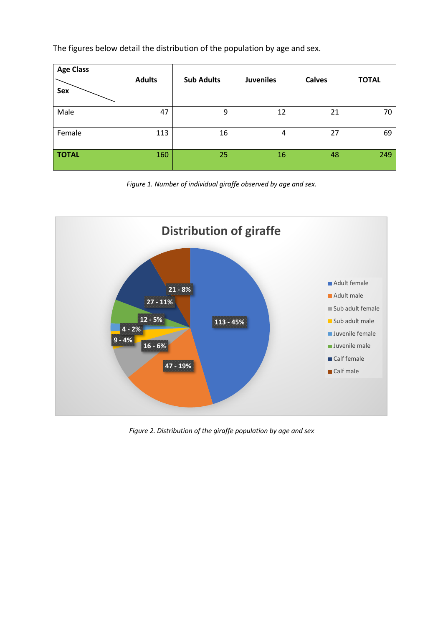The figures below detail the distribution of the population by age and sex.

| <b>Age Class</b><br>Sex | <b>Adults</b> | <b>Sub Adults</b> | <b>Juveniles</b> | <b>Calves</b> | <b>TOTAL</b> |
|-------------------------|---------------|-------------------|------------------|---------------|--------------|
| Male                    | 47            | 9                 | 12               | 21            | 70           |
| Female                  | 113           | 16                | 4                | 27            | 69           |
| <b>TOTAL</b>            | 160           | 25                | 16               | 48            | 249          |

*Figure 1. Number of individual giraffe observed by age and sex.*



*Figure 2. Distribution of the giraffe population by age and sex*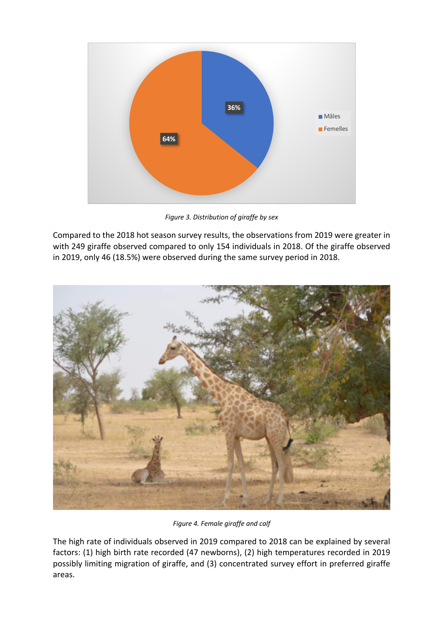

*Figure 3. Distribution of giraffe by sex*

Compared to the 2018 hot season survey results, the observations from 2019 were greater in with 249 giraffe observed compared to only 154 individuals in 2018. Of the giraffe observed in 2019, only 46 (18.5%) were observed during the same survey period in 2018.



*Figure 4. Female giraffe and calf*

The high rate of individuals observed in 2019 compared to 2018 can be explained by several factors: (1) high birth rate recorded (47 newborns), (2) high temperatures recorded in 2019 possibly limiting migration of giraffe, and (3) concentrated survey effort in preferred giraffe areas.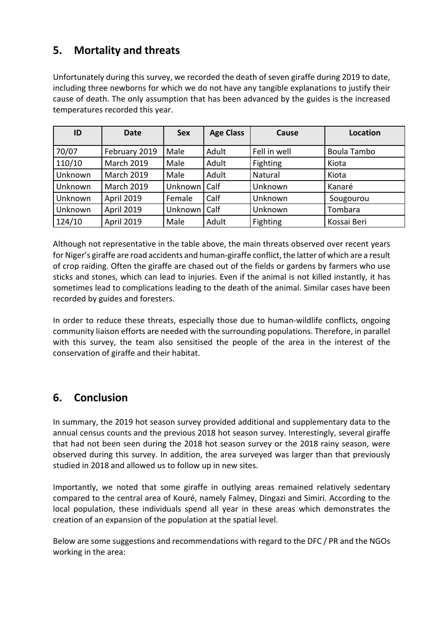# **5. Mortality and threats**

Unfortunately during this survey, we recorded the death of seven giraffe during 2019 to date, including three newborns for which we do not have any tangible explanations to justify their cause of death. The only assumption that has been advanced by the guides is the increased temperatures recorded this year.

| ID      | <b>Date</b>       | <b>Sex</b> | <b>Age Class</b> | Cause        | <b>Location</b> |
|---------|-------------------|------------|------------------|--------------|-----------------|
| 70/07   | February 2019     | Male       | Adult            | Fell in well | Boula Tambo     |
| 110/10  | <b>March 2019</b> | Male       | Adult            | Fighting     | Kiota           |
| Unknown | <b>March 2019</b> | Male       | Adult            | Natural      | Kiota           |
| Unknown | <b>March 2019</b> | Unknown    | Calf             | Unknown      | Kanaré          |
| Unknown | April 2019        | Female     | Calf             | Unknown      | Sougourou       |
| Unknown | April 2019        | Unknown    | Calf             | Unknown      | Tombara         |
| 124/10  | April 2019        | Male       | Adult            | Fighting     | Kossai Beri     |

Although not representative in the table above, the main threats observed over recent years for Niger's giraffe are road accidents and human-giraffe conflict, the latter of which are a result of crop raiding. Often the giraffe are chased out of the fields or gardens by farmers who use sticks and stones, which can lead to injuries. Even if the animal is not killed instantly, it has sometimes lead to complications leading to the death of the animal. Similar cases have been recorded by guides and foresters.

In order to reduce these threats, especially those due to human-wildlife conflicts, ongoing community liaison efforts are needed with the surrounding populations. Therefore, in parallel with this survey, the team also sensitised the people of the area in the interest of the conservation of giraffe and their habitat.

# **6. Conclusion**

In summary, the 2019 hot season survey provided additional and supplementary data to the annual census counts and the previous 2018 hot season survey. Interestingly, several giraffe that had not been seen during the 2018 hot season survey or the 2018 rainy season, were observed during this survey. In addition, the area surveyed was larger than that previously studied in 2018 and allowed us to follow up in new sites.

Importantly, we noted that some giraffe in outlying areas remained relatively sedentary compared to the central area of Kouré, namely Falmey, Dingazi and Simiri. According to the local population, these individuals spend all year in these areas which demonstrates the creation of an expansion of the population at the spatial level.

Below are some suggestions and recommendations with regard to the DFC / PR and the NGOs working in the area: